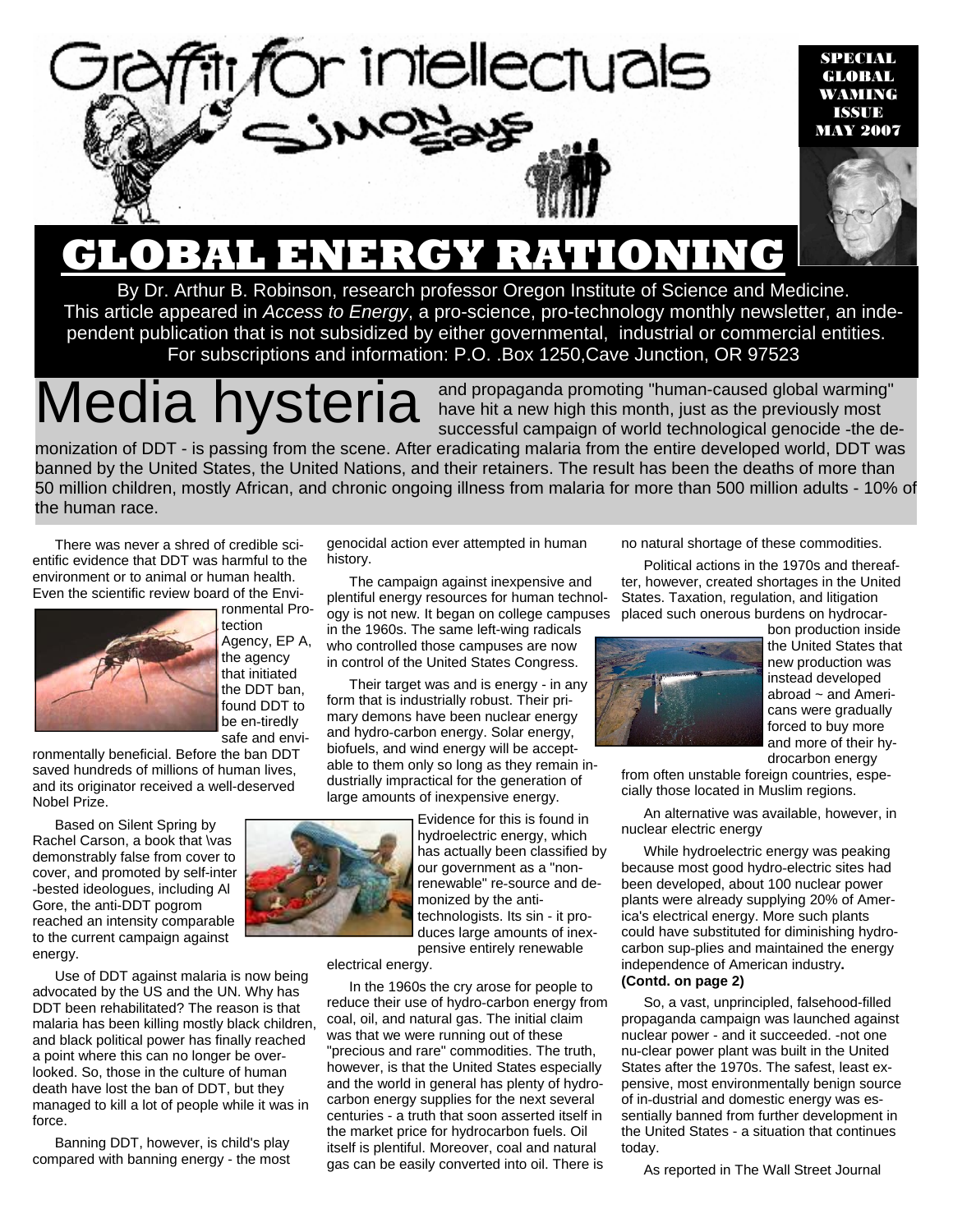

SPECIAL GLOBAL WAMING **ISSUE** MAY 2007



# **GLOBAL ENERGY RATIONING**

By Dr. Arthur B. Robinson, research professor Oregon Institute of Science and Medicine. This article appeared in *Access to Energy*, a pro-science, pro-technology monthly newsletter, an independent publication that is not subsidized by either governmental, industrial or commercial entities. For subscriptions and information: P.O. .Box 1250,Cave Junction, OR 97523

Media hysteria and propaganda promoting "human-caused global warming"<br>successful campaign of world technological genocide -the de have hit a new high this month, just as the previously most successful campaign of world technological genocide -the de-

monization of DDT - is passing from the scene. After eradicating malaria from the entire developed world, DDT was banned by the United States, the United Nations, and their retainers. The result has been the deaths of more than 50 million children, mostly African, and chronic ongoing illness from malaria for more than 500 million adults - 10% of the human race.

There was never a shred of credible scientific evidence that DDT was harmful to the environment or to animal or human health. Even the scientific review board of the Envi-



ronmental Protection Agency, EP A, the agency that initiated the DDT ban, found DDT to be en-tiredly safe and envi-

ronmentally beneficial. Before the ban DDT saved hundreds of millions of human lives, and its originator received a well-deserved Nobel Prize.

Based on Silent Spring by Rachel Carson, a book that \vas demonstrably false from cover to cover, and promoted by self-inter -bested ideologues, including Al Gore, the anti-DDT pogrom reached an intensity comparable to the current campaign against energy.

Use of DDT against malaria is now being advocated by the US and the UN. Why has DDT been rehabilitated? The reason is that malaria has been killing mostly black children, and black political power has finally reached a point where this can no longer be overlooked. So, those in the culture of human death have lost the ban of DDT, but they managed to kill a lot of people while it was in force.

Banning DDT, however, is child's play compared with banning energy - the most

genocidal action ever attempted in human history.

The campaign against inexpensive and plentiful energy resources for human technology is not new. It began on college campuses in the 1960s. The same left-wing radicals who controlled those campuses are now in control of the United States Congress.

Their target was and is energy - in any form that is industrially robust. Their primary demons have been nuclear energy and hydro-carbon energy. Solar energy, biofuels, and wind energy will be acceptable to them only so long as they remain industrially impractical for the generation of large amounts of inexpensive energy.



Evidence for this is found in hydroelectric energy, which has actually been classified by our government as a "nonrenewable" re-source and demonized by the antitechnologists. Its sin - it produces large amounts of inexpensive entirely renewable

electrical energy.

In the 1960s the cry arose for people to reduce their use of hydro-carbon energy from coal, oil, and natural gas. The initial claim was that we were running out of these "precious and rare" commodities. The truth, however, is that the United States especially and the world in general has plenty of hydrocarbon energy supplies for the next several centuries - a truth that soon asserted itself in the market price for hydrocarbon fuels. Oil itself is plentiful. Moreover, coal and natural gas can be easily converted into oil. There is

no natural shortage of these commodities.

Political actions in the 1970s and thereafter, however, created shortages in the United States. Taxation, regulation, and litigation placed such onerous burdens on hydrocar-



bon production inside the United States that new production was instead developed abroad ~ and Americans were gradually forced to buy more and more of their hydrocarbon energy

from often unstable foreign countries, especially those located in Muslim regions.

An alternative was available, however, in nuclear electric energy

While hydroelectric energy was peaking because most good hydro-electric sites had been developed, about 100 nuclear power plants were already supplying 20% of America's electrical energy. More such plants could have substituted for diminishing hydrocarbon sup-plies and maintained the energy independence of American industry**. (Contd. on page 2)** 

So, a vast, unprincipled, falsehood-filled propaganda campaign was launched against nuclear power - and it succeeded. -not one nu-clear power plant was built in the United States after the 1970s. The safest, least expensive, most environmentally benign source of in-dustrial and domestic energy was essentially banned from further development in the United States - a situation that continues today.

As reported in The Wall Street Journal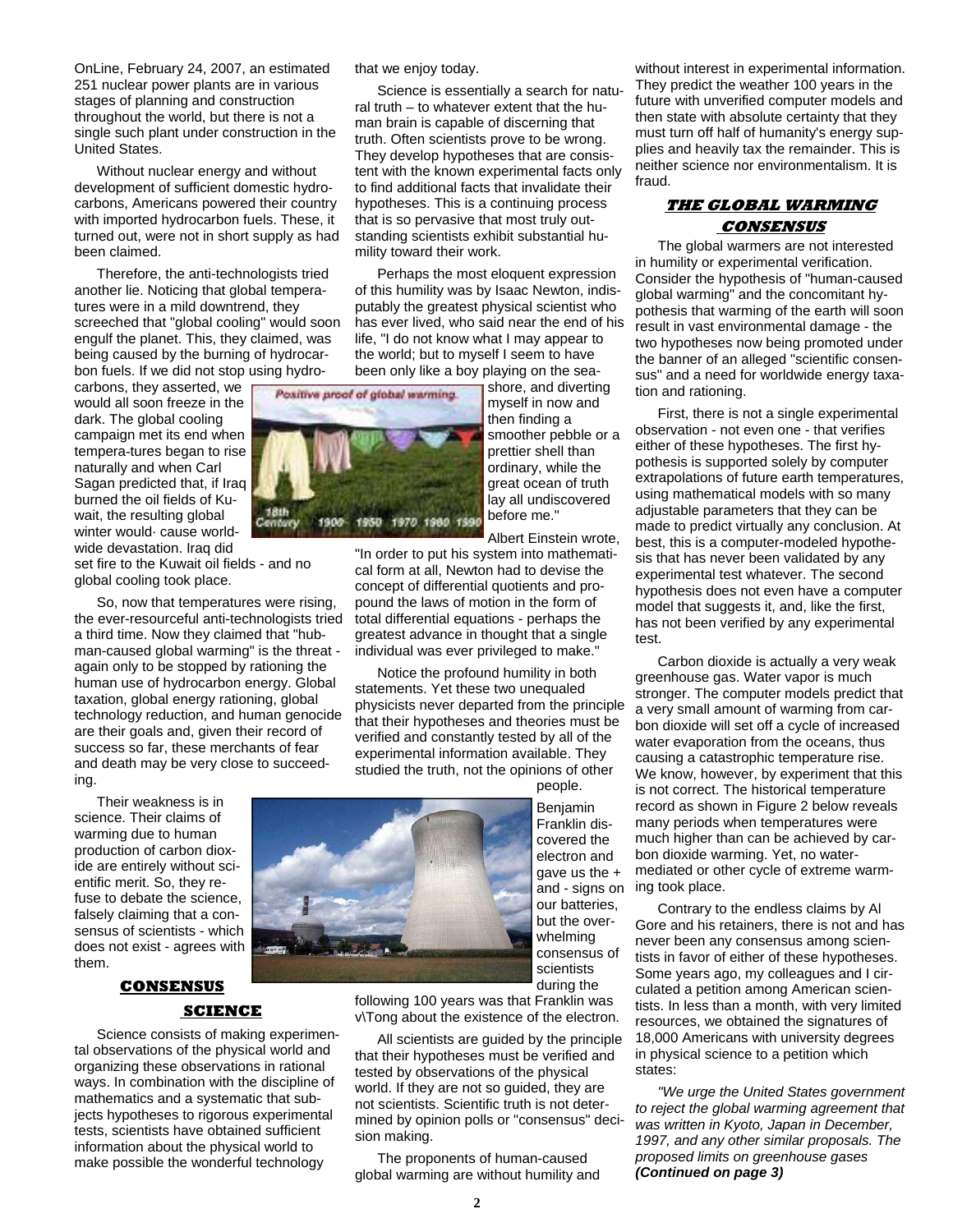OnLine, February 24, 2007, an estimated 251 nuclear power plants are in various stages of planning and construction throughout the world, but there is not a single such plant under construction in the United States.

Without nuclear energy and without development of sufficient domestic hydrocarbons, Americans powered their country with imported hydrocarbon fuels. These, it turned out, were not in short supply as had been claimed.

Therefore, the anti-technologists tried another lie. Noticing that global temperatures were in a mild downtrend, they screeched that "global cooling" would soon engulf the planet. This, they claimed, was being caused by the burning of hydrocarbon fuels. If we did not stop using hydro-

carbons, they asserted, we would all soon freeze in the dark. The global cooling campaign met its end when tempera-tures began to rise naturally and when Carl Sagan predicted that, if Iraq burned the oil fields of Kuwait, the resulting global winter would· cause worldwide devastation. Iraq did

set fire to the Kuwait oil fields - and no global cooling took place.

So, now that temperatures were rising, the ever-resourceful anti-technologists tried a third time. Now they claimed that "hubman-caused global warming" is the threat again only to be stopped by rationing the human use of hydrocarbon energy. Global taxation, global energy rationing, global technology reduction, and human genocide are their goals and, given their record of success so far, these merchants of fear and death may be very close to succeeding.

Their weakness is in science. Their claims of warming due to human production of carbon dioxide are entirely without scientific merit. So, they refuse to debate the science, falsely claiming that a consensus of scientists - which does not exist - agrees with them.

# **CONSENSUS**

## **SCIENCE**

Science consists of making experimental observations of the physical world and organizing these observations in rational ways. In combination with the discipline of mathematics and a systematic that subjects hypotheses to rigorous experimental tests, scientists have obtained sufficient information about the physical world to make possible the wonderful technology

that we enjoy today.

Science is essentially a search for natural truth – to whatever extent that the human brain is capable of discerning that truth. Often scientists prove to be wrong. They develop hypotheses that are consistent with the known experimental facts only to find additional facts that invalidate their hypotheses. This is a continuing process that is so pervasive that most truly outstanding scientists exhibit substantial humility toward their work.

Perhaps the most eloquent expression of this humility was by Isaac Newton, indisputably the greatest physical scientist who has ever lived, who said near the end of his life, "I do not know what I may appear to the world; but to myself I seem to have been only like a boy playing on the sea-



shore, and diverting myself in now and then finding a smoother pebble or a prettier shell than ordinary, while the great ocean of truth lay all undiscovered before me."

Albert Einstein wrote,

"In order to put his system into mathematical form at all, Newton had to devise the concept of differential quotients and propound the laws of motion in the form of total differential equations - perhaps the greatest advance in thought that a single individual was ever privileged to make."

Notice the profound humility in both statements. Yet these two unequaled physicists never departed from the principle that their hypotheses and theories must be verified and constantly tested by all of the experimental information available. They studied the truth, not the opinions of other

people.

Benjamin Franklin discovered the electron and gave us the + and - signs on our batteries, but the overwhelming consensus of scientists during the

following 100 years was that Franklin was v\Tong about the existence of the electron.

All scientists are guided by the principle that their hypotheses must be verified and tested by observations of the physical world. If they are not so guided, they are not scientists. Scientific truth is not determined by opinion polls or "consensus" decision making.

The proponents of human-caused global warming are without humility and without interest in experimental information. They predict the weather 100 years in the future with unverified computer models and then state with absolute certainty that they must turn off half of humanity's energy supplies and heavily tax the remainder. This is neither science nor environmentalism. It is fraud.

### **THE GLOBAL WARMING CONSENSUS**

The global warmers are not interested in humility or experimental verification. Consider the hypothesis of "human-caused global warming" and the concomitant hypothesis that warming of the earth will soon result in vast environmental damage - the two hypotheses now being promoted under the banner of an alleged "scientific consensus" and a need for worldwide energy taxation and rationing.

First, there is not a single experimental observation - not even one - that verifies either of these hypotheses. The first hypothesis is supported solely by computer extrapolations of future earth temperatures, using mathematical models with so many adjustable parameters that they can be made to predict virtually any conclusion. At best, this is a computer-modeled hypothesis that has never been validated by any experimental test whatever. The second hypothesis does not even have a computer model that suggests it, and, like the first, has not been verified by any experimental test.

Carbon dioxide is actually a very weak greenhouse gas. Water vapor is much stronger. The computer models predict that a very small amount of warming from carbon dioxide will set off a cycle of increased water evaporation from the oceans, thus causing a catastrophic temperature rise. We know, however, by experiment that this is not correct. The historical temperature record as shown in Figure 2 below reveals many periods when temperatures were much higher than can be achieved by carbon dioxide warming. Yet, no watermediated or other cycle of extreme warming took place.

Contrary to the endless claims by Al Gore and his retainers, there is not and has never been any consensus among scientists in favor of either of these hypotheses. Some years ago, my colleagues and I circulated a petition among American scientists. In less than a month, with very limited resources, we obtained the signatures of 18,000 Americans with university degrees in physical science to a petition which states:

*"We urge the United States government to reject the global warming agreement that was written in Kyoto, Japan in December, 1997, and any other similar proposals. The proposed limits on greenhouse gases (Continued on page 3)* 

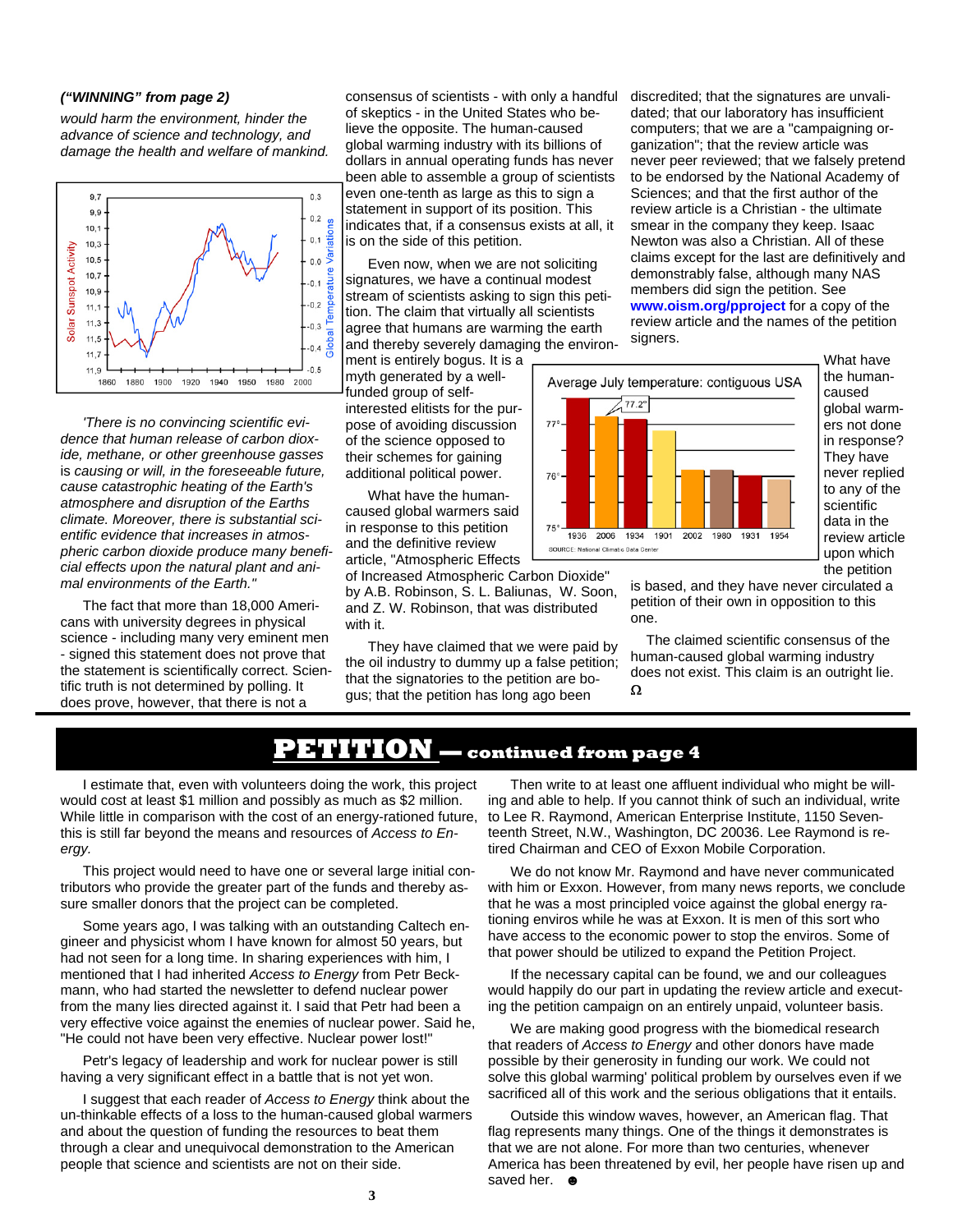#### *("WINNING" from page 2)*

*would harm the environment, hinder the advance of science and technology, and damage the health and welfare of mankind.* 



*'There is no convincing scientific evidence that human release of carbon dioxide, methane, or other greenhouse gasses*  is *causing or will, in the foreseeable future, cause catastrophic heating of the Earth's atmosphere and disruption of the Earths climate. Moreover, there is substantial scientific evidence that increases in atmospheric carbon dioxide produce many beneficial effects upon the natural plant and animal environments of the Earth."* 

The fact that more than 18,000 Americans with university degrees in physical science - including many very eminent men - signed this statement does not prove that the statement is scientifically correct. Scientific truth is not determined by polling. It does prove, however, that there is not a

consensus of scientists - with only a handful of skeptics - in the United States who believe the opposite. The human-caused global warming industry with its billions of dollars in annual operating funds has never been able to assemble a group of scientists even one-tenth as large as this to sign a statement in support of its position. This indicates that, if a consensus exists at all, it is on the side of this petition.

Even now, when we are not soliciting signatures, we have a continual modest stream of scientists asking to sign this petition. The claim that virtually all scientists agree that humans are warming the earth and thereby severely damaging the environ-

ment is entirely bogus. It is a myth generated by a wellfunded group of selfinterested elitists for the purpose of avoiding discussion of the science opposed to their schemes for gaining additional political power.

What have the humancaused global warmers said in response to this petition and the definitive review article, "Atmospheric Effects

of Increased Atmospheric Carbon Dioxide" by A.B. Robinson, S. L. Baliunas, W. Soon, and Z. W. Robinson, that was distributed with it.

They have claimed that we were paid by the oil industry to dummy up a false petition; that the signatories to the petition are bogus; that the petition has long ago been

discredited; that the signatures are unvalidated; that our laboratory has insufficient computers; that we are a "campaigning organization"; that the review article was never peer reviewed; that we falsely pretend to be endorsed by the National Academy of Sciences; and that the first author of the review article is a Christian - the ultimate smear in the company they keep. Isaac Newton was also a Christian. All of these claims except for the last are definitively and demonstrably false, although many NAS members did sign the petition. See **www.oism.org/pproject** for a copy of the review article and the names of the petition signers.



What have the humancaused global warmers not done in response? They have never replied to any of the scientific data in the review article upon which the petition

is based, and they have never circulated a petition of their own in opposition to this one.

 The claimed scientific consensus of the human-caused global warming industry does not exist. This claim is an outright lie. Ω

# **PETITION — continued from page 4**

I estimate that, even with volunteers doing the work, this project would cost at least \$1 million and possibly as much as \$2 million. While little in comparison with the cost of an energy-rationed future, this is still far beyond the means and resources of *Access to Energy.* 

This project would need to have one or several large initial contributors who provide the greater part of the funds and thereby assure smaller donors that the project can be completed.

Some years ago, I was talking with an outstanding Caltech engineer and physicist whom I have known for almost 50 years, but had not seen for a long time. In sharing experiences with him, I mentioned that I had inherited *Access to Energy* from Petr Beckmann, who had started the newsletter to defend nuclear power from the many lies directed against it. I said that Petr had been a very effective voice against the enemies of nuclear power. Said he, "He could not have been very effective. Nuclear power lost!"

Petr's legacy of leadership and work for nuclear power is still having a very significant effect in a battle that is not yet won.

I suggest that each reader of *Access to Energy* think about the un-thinkable effects of a loss to the human-caused global warmers and about the question of funding the resources to beat them through a clear and unequivocal demonstration to the American people that science and scientists are not on their side.

Then write to at least one affluent individual who might be willing and able to help. If you cannot think of such an individual, write to Lee R. Raymond, American Enterprise Institute, 1150 Seventeenth Street, N.W., Washington, DC 20036. Lee Raymond is retired Chairman and CEO of Exxon Mobile Corporation.

We do not know Mr. Raymond and have never communicated with him or Exxon. However, from many news reports, we conclude that he was a most principled voice against the global energy rationing enviros while he was at Exxon. It is men of this sort who have access to the economic power to stop the enviros. Some of that power should be utilized to expand the Petition Project.

If the necessary capital can be found, we and our colleagues would happily do our part in updating the review article and executing the petition campaign on an entirely unpaid, volunteer basis.

We are making good progress with the biomedical research that readers of *Access to Energy* and other donors have made possible by their generosity in funding our work. We could not solve this global warming' political problem by ourselves even if we sacrificed all of this work and the serious obligations that it entails.

Outside this window waves, however, an American flag. That flag represents many things. One of the things it demonstrates is that we are not alone. For more than two centuries, whenever America has been threatened by evil, her people have risen up and saved her. **A**